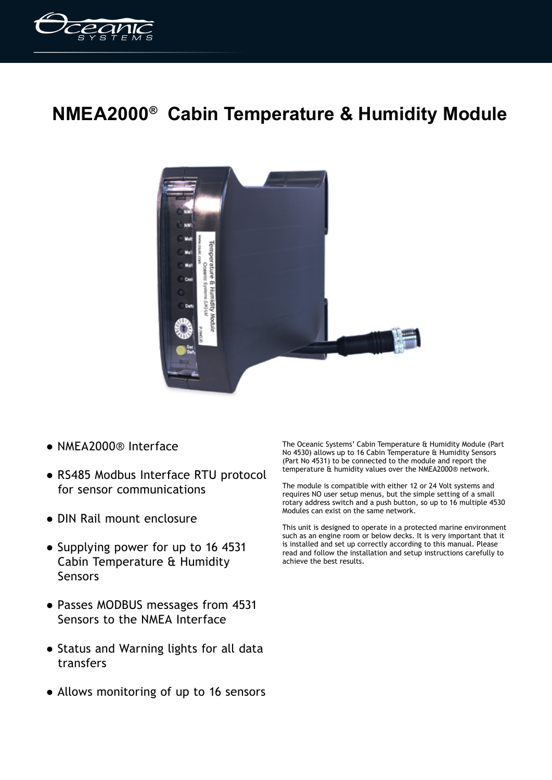

## **NMEA2000® Cabin Temperature & Humidity Module**



- NMEA2000® Interface
- RS485 Modbus Interface RTU protocol for sensor communications
- DIN Rail mount enclosure
- Supplying power for up to 16 4531 Cabin Temperature & Humidity Sensors
- Passes MODBUS messages from 4531 Sensors to the NMEA Interface
- Status and Warning lights for all data transfers
- Allows monitoring of up to 16 sensors

The Oceanic Systems' Cabin Temperature & Humidity Module (Part No 4530) allows up to 16 Cabin Temperature & Humidity Sensors (Part No 4531) to be connected to the module and report the temperature & humidity values over the NMEA2000® network.

The module is compatible with either 12 or 24 Volt systems and requires NO user setup menus, but the simple setting of a small rotary address switch and a push button, so up to 16 multiple 4530 Modules can exist on the same network.

This unit is designed to operate in a protected marine environment such as an engine room or below decks. It is very important that it is installed and set up correctly according to this manual. Please read and follow the installation and setup instructions carefully to achieve the best results.